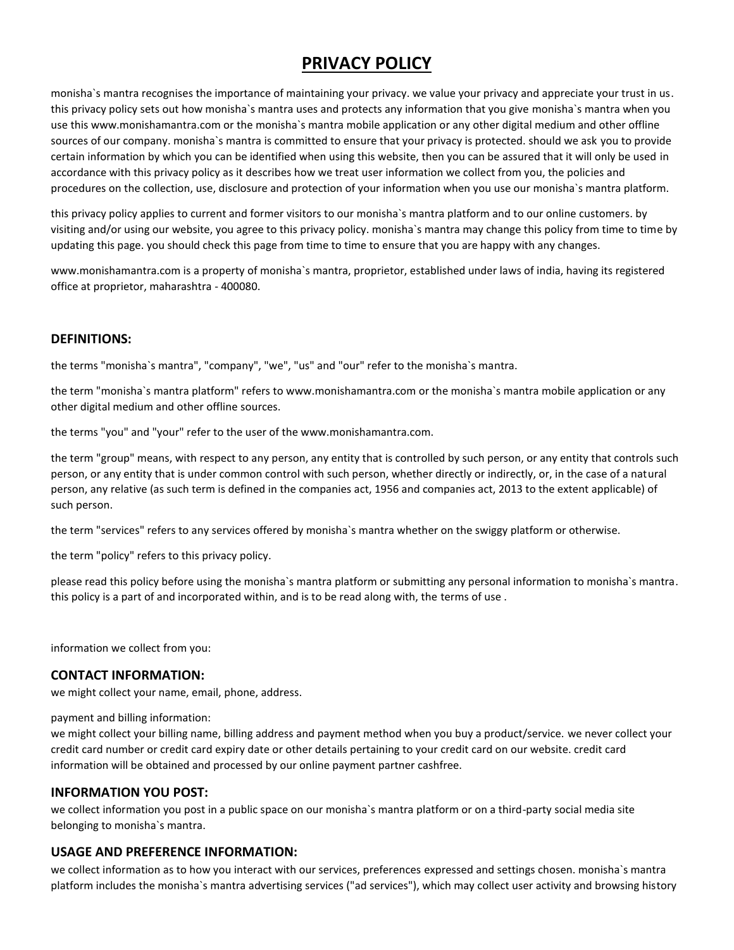# **PRIVACY POLICY**

monisha`s mantra recognises the importance of maintaining your privacy. we value your privacy and appreciate your trust in us. this privacy policy sets out how monisha`s mantra uses and protects any information that you give monisha`s mantra when you use this www.monishamantra.com or the monisha`s mantra mobile application or any other digital medium and other offline sources of our company. monisha`s mantra is committed to ensure that your privacy is protected. should we ask you to provide certain information by which you can be identified when using this website, then you can be assured that it will only be used in accordance with this privacy policy as it describes how we treat user information we collect from you, the policies and procedures on the collection, use, disclosure and protection of your information when you use our monisha`s mantra platform.

this privacy policy applies to current and former visitors to our monisha`s mantra platform and to our online customers. by visiting and/or using our website, you agree to this privacy policy. monisha`s mantra may change this policy from time to time by updating this page. you should check this page from time to time to ensure that you are happy with any changes.

www.monishamantra.com is a property of monisha`s mantra, proprietor, established under laws of india, having its registered office at proprietor, maharashtra - 400080.

# **DEFINITIONS:**

the terms "monisha`s mantra", "company", "we", "us" and "our" refer to the monisha`s mantra.

the term "monisha`s mantra platform" refers to www.monishamantra.com or the monisha`s mantra mobile application or any other digital medium and other offline sources.

the terms "you" and "your" refer to the user of the www.monishamantra.com.

the term "group" means, with respect to any person, any entity that is controlled by such person, or any entity that controls such person, or any entity that is under common control with such person, whether directly or indirectly, or, in the case of a natural person, any relative (as such term is defined in the companies act, 1956 and companies act, 2013 to the extent applicable) of such person.

the term "services" refers to any services offered by monisha`s mantra whether on the swiggy platform or otherwise.

the term "policy" refers to this privacy policy.

please read this policy before using the monisha`s mantra platform or submitting any personal information to monisha`s mantra. this policy is a part of and incorporated within, and is to be read along with, the terms of use .

information we collect from you:

### **CONTACT INFORMATION:**

we might collect your name, email, phone, address.

payment and billing information:

we might collect your billing name, billing address and payment method when you buy a product/service. we never collect your credit card number or credit card expiry date or other details pertaining to your credit card on our website. credit card information will be obtained and processed by our online payment partner cashfree.

# **INFORMATION YOU POST:**

we collect information you post in a public space on our monisha`s mantra platform or on a third-party social media site belonging to monisha`s mantra.

# **USAGE AND PREFERENCE INFORMATION:**

we collect information as to how you interact with our services, preferences expressed and settings chosen. monisha`s mantra platform includes the monisha`s mantra advertising services ("ad services"), which may collect user activity and browsing history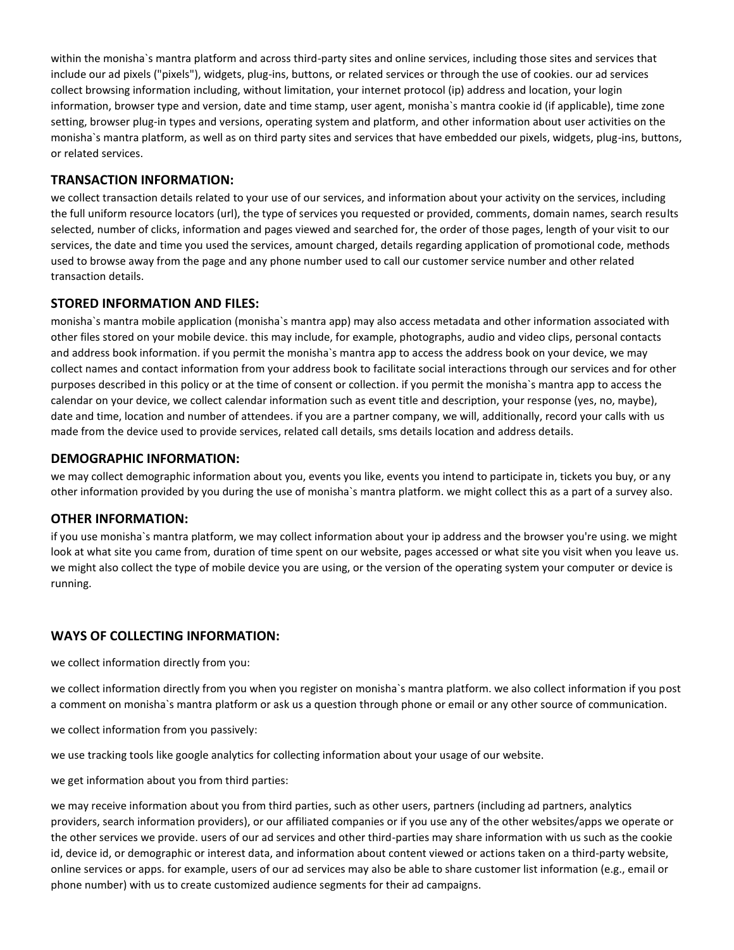within the monisha`s mantra platform and across third-party sites and online services, including those sites and services that include our ad pixels ("pixels"), widgets, plug-ins, buttons, or related services or through the use of cookies. our ad services collect browsing information including, without limitation, your internet protocol (ip) address and location, your login information, browser type and version, date and time stamp, user agent, monisha`s mantra cookie id (if applicable), time zone setting, browser plug-in types and versions, operating system and platform, and other information about user activities on the monisha`s mantra platform, as well as on third party sites and services that have embedded our pixels, widgets, plug-ins, buttons, or related services.

## **TRANSACTION INFORMATION:**

we collect transaction details related to your use of our services, and information about your activity on the services, including the full uniform resource locators (url), the type of services you requested or provided, comments, domain names, search results selected, number of clicks, information and pages viewed and searched for, the order of those pages, length of your visit to our services, the date and time you used the services, amount charged, details regarding application of promotional code, methods used to browse away from the page and any phone number used to call our customer service number and other related transaction details.

# **STORED INFORMATION AND FILES:**

monisha`s mantra mobile application (monisha`s mantra app) may also access metadata and other information associated with other files stored on your mobile device. this may include, for example, photographs, audio and video clips, personal contacts and address book information. if you permit the monisha`s mantra app to access the address book on your device, we may collect names and contact information from your address book to facilitate social interactions through our services and for other purposes described in this policy or at the time of consent or collection. if you permit the monisha`s mantra app to access the calendar on your device, we collect calendar information such as event title and description, your response (yes, no, maybe), date and time, location and number of attendees. if you are a partner company, we will, additionally, record your calls with us made from the device used to provide services, related call details, sms details location and address details.

## **DEMOGRAPHIC INFORMATION:**

we may collect demographic information about you, events you like, events you intend to participate in, tickets you buy, or any other information provided by you during the use of monisha`s mantra platform. we might collect this as a part of a survey also.

### **OTHER INFORMATION:**

if you use monisha`s mantra platform, we may collect information about your ip address and the browser you're using. we might look at what site you came from, duration of time spent on our website, pages accessed or what site you visit when you leave us. we might also collect the type of mobile device you are using, or the version of the operating system your computer or device is running.

# **WAYS OF COLLECTING INFORMATION:**

we collect information directly from you:

we collect information directly from you when you register on monisha`s mantra platform. we also collect information if you post a comment on monisha`s mantra platform or ask us a question through phone or email or any other source of communication.

we collect information from you passively:

we use tracking tools like google analytics for collecting information about your usage of our website.

we get information about you from third parties:

we may receive information about you from third parties, such as other users, partners (including ad partners, analytics providers, search information providers), or our affiliated companies or if you use any of the other websites/apps we operate or the other services we provide. users of our ad services and other third-parties may share information with us such as the cookie id, device id, or demographic or interest data, and information about content viewed or actions taken on a third-party website, online services or apps. for example, users of our ad services may also be able to share customer list information (e.g., email or phone number) with us to create customized audience segments for their ad campaigns.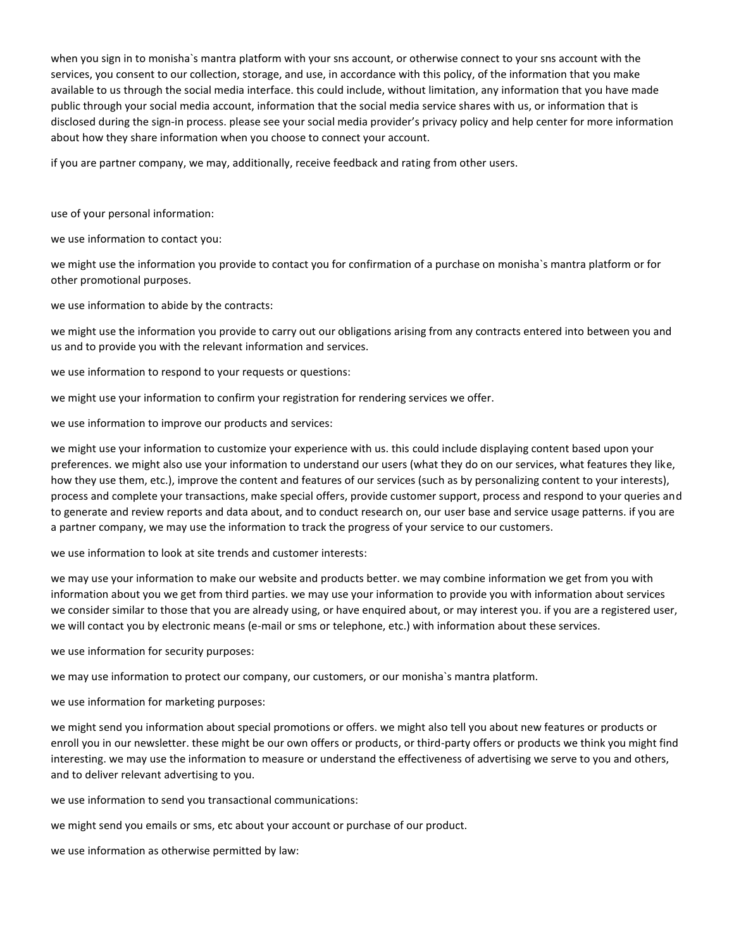when you sign in to monisha`s mantra platform with your sns account, or otherwise connect to your sns account with the services, you consent to our collection, storage, and use, in accordance with this policy, of the information that you make available to us through the social media interface. this could include, without limitation, any information that you have made public through your social media account, information that the social media service shares with us, or information that is disclosed during the sign-in process. please see your social media provider's privacy policy and help center for more information about how they share information when you choose to connect your account.

if you are partner company, we may, additionally, receive feedback and rating from other users.

use of your personal information:

we use information to contact you:

we might use the information you provide to contact you for confirmation of a purchase on monisha`s mantra platform or for other promotional purposes.

we use information to abide by the contracts:

we might use the information you provide to carry out our obligations arising from any contracts entered into between you and us and to provide you with the relevant information and services.

we use information to respond to your requests or questions:

we might use your information to confirm your registration for rendering services we offer.

we use information to improve our products and services:

we might use your information to customize your experience with us. this could include displaying content based upon your preferences. we might also use your information to understand our users (what they do on our services, what features they like, how they use them, etc.), improve the content and features of our services (such as by personalizing content to your interests), process and complete your transactions, make special offers, provide customer support, process and respond to your queries and to generate and review reports and data about, and to conduct research on, our user base and service usage patterns. if you are a partner company, we may use the information to track the progress of your service to our customers.

we use information to look at site trends and customer interests:

we may use your information to make our website and products better. we may combine information we get from you with information about you we get from third parties. we may use your information to provide you with information about services we consider similar to those that you are already using, or have enquired about, or may interest you. if you are a registered user, we will contact you by electronic means (e-mail or sms or telephone, etc.) with information about these services.

we use information for security purposes:

we may use information to protect our company, our customers, or our monisha`s mantra platform.

we use information for marketing purposes:

we might send you information about special promotions or offers. we might also tell you about new features or products or enroll you in our newsletter. these might be our own offers or products, or third-party offers or products we think you might find interesting. we may use the information to measure or understand the effectiveness of advertising we serve to you and others, and to deliver relevant advertising to you.

we use information to send you transactional communications:

we might send you emails or sms, etc about your account or purchase of our product.

we use information as otherwise permitted by law: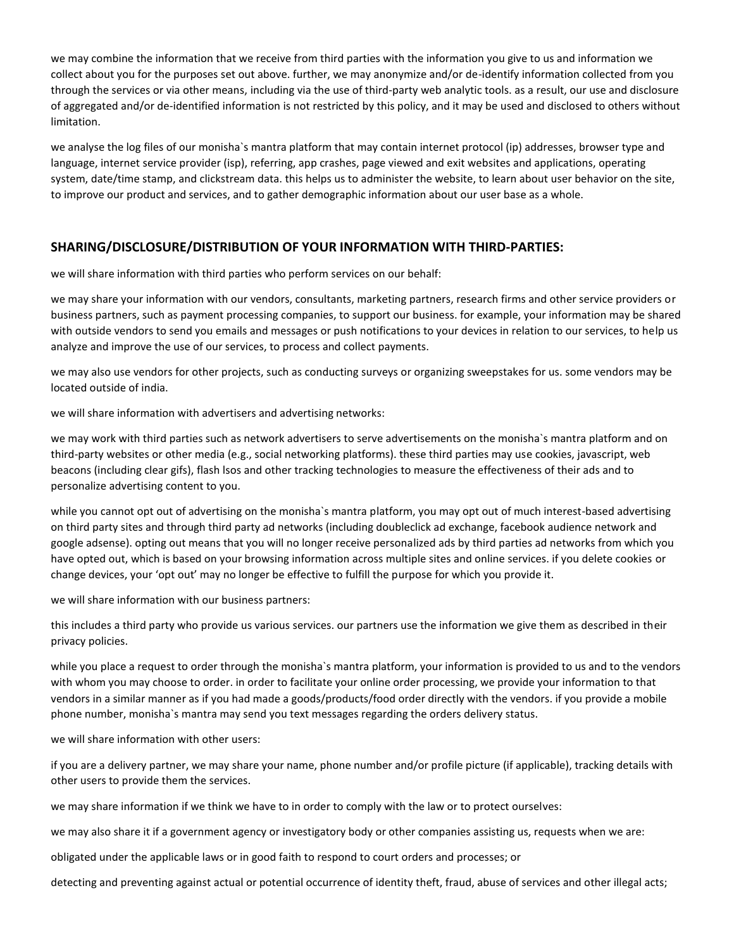we may combine the information that we receive from third parties with the information you give to us and information we collect about you for the purposes set out above. further, we may anonymize and/or de-identify information collected from you through the services or via other means, including via the use of third-party web analytic tools. as a result, our use and disclosure of aggregated and/or de-identified information is not restricted by this policy, and it may be used and disclosed to others without limitation.

we analyse the log files of our monisha`s mantra platform that may contain internet protocol (ip) addresses, browser type and language, internet service provider (isp), referring, app crashes, page viewed and exit websites and applications, operating system, date/time stamp, and clickstream data. this helps us to administer the website, to learn about user behavior on the site, to improve our product and services, and to gather demographic information about our user base as a whole.

# **SHARING/DISCLOSURE/DISTRIBUTION OF YOUR INFORMATION WITH THIRD-PARTIES:**

we will share information with third parties who perform services on our behalf:

we may share your information with our vendors, consultants, marketing partners, research firms and other service providers or business partners, such as payment processing companies, to support our business. for example, your information may be shared with outside vendors to send you emails and messages or push notifications to your devices in relation to our services, to help us analyze and improve the use of our services, to process and collect payments.

we may also use vendors for other projects, such as conducting surveys or organizing sweepstakes for us. some vendors may be located outside of india.

we will share information with advertisers and advertising networks:

we may work with third parties such as network advertisers to serve advertisements on the monisha`s mantra platform and on third-party websites or other media (e.g., social networking platforms). these third parties may use cookies, javascript, web beacons (including clear gifs), flash lsos and other tracking technologies to measure the effectiveness of their ads and to personalize advertising content to you.

while you cannot opt out of advertising on the monisha`s mantra platform, you may opt out of much interest-based advertising on third party sites and through third party ad networks (including doubleclick ad exchange, facebook audience network and google adsense). opting out means that you will no longer receive personalized ads by third parties ad networks from which you have opted out, which is based on your browsing information across multiple sites and online services. if you delete cookies or change devices, your 'opt out' may no longer be effective to fulfill the purpose for which you provide it.

we will share information with our business partners:

this includes a third party who provide us various services. our partners use the information we give them as described in their privacy policies.

while you place a request to order through the monisha`s mantra platform, your information is provided to us and to the vendors with whom you may choose to order. in order to facilitate your online order processing, we provide your information to that vendors in a similar manner as if you had made a goods/products/food order directly with the vendors. if you provide a mobile phone number, monisha`s mantra may send you text messages regarding the orders delivery status.

we will share information with other users:

if you are a delivery partner, we may share your name, phone number and/or profile picture (if applicable), tracking details with other users to provide them the services.

we may share information if we think we have to in order to comply with the law or to protect ourselves:

we may also share it if a government agency or investigatory body or other companies assisting us, requests when we are:

obligated under the applicable laws or in good faith to respond to court orders and processes; or

detecting and preventing against actual or potential occurrence of identity theft, fraud, abuse of services and other illegal acts;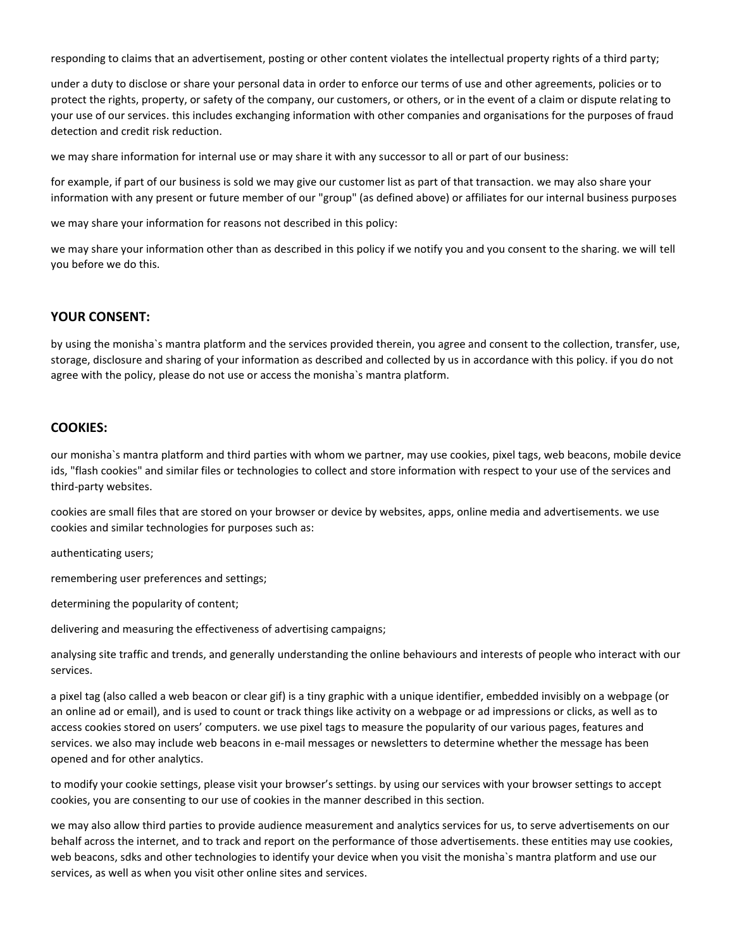responding to claims that an advertisement, posting or other content violates the intellectual property rights of a third party;

under a duty to disclose or share your personal data in order to enforce our terms of use and other agreements, policies or to protect the rights, property, or safety of the company, our customers, or others, or in the event of a claim or dispute relating to your use of our services. this includes exchanging information with other companies and organisations for the purposes of fraud detection and credit risk reduction.

we may share information for internal use or may share it with any successor to all or part of our business:

for example, if part of our business is sold we may give our customer list as part of that transaction. we may also share your information with any present or future member of our "group" (as defined above) or affiliates for our internal business purposes

we may share your information for reasons not described in this policy:

we may share your information other than as described in this policy if we notify you and you consent to the sharing. we will tell you before we do this.

# **YOUR CONSENT:**

by using the monisha`s mantra platform and the services provided therein, you agree and consent to the collection, transfer, use, storage, disclosure and sharing of your information as described and collected by us in accordance with this policy. if you do not agree with the policy, please do not use or access the monisha`s mantra platform.

# **COOKIES:**

our monisha`s mantra platform and third parties with whom we partner, may use cookies, pixel tags, web beacons, mobile device ids, "flash cookies" and similar files or technologies to collect and store information with respect to your use of the services and third-party websites.

cookies are small files that are stored on your browser or device by websites, apps, online media and advertisements. we use cookies and similar technologies for purposes such as:

authenticating users;

remembering user preferences and settings;

determining the popularity of content;

delivering and measuring the effectiveness of advertising campaigns;

analysing site traffic and trends, and generally understanding the online behaviours and interests of people who interact with our services.

a pixel tag (also called a web beacon or clear gif) is a tiny graphic with a unique identifier, embedded invisibly on a webpage (or an online ad or email), and is used to count or track things like activity on a webpage or ad impressions or clicks, as well as to access cookies stored on users' computers. we use pixel tags to measure the popularity of our various pages, features and services. we also may include web beacons in e-mail messages or newsletters to determine whether the message has been opened and for other analytics.

to modify your cookie settings, please visit your browser's settings. by using our services with your browser settings to accept cookies, you are consenting to our use of cookies in the manner described in this section.

we may also allow third parties to provide audience measurement and analytics services for us, to serve advertisements on our behalf across the internet, and to track and report on the performance of those advertisements. these entities may use cookies, web beacons, sdks and other technologies to identify your device when you visit the monisha`s mantra platform and use our services, as well as when you visit other online sites and services.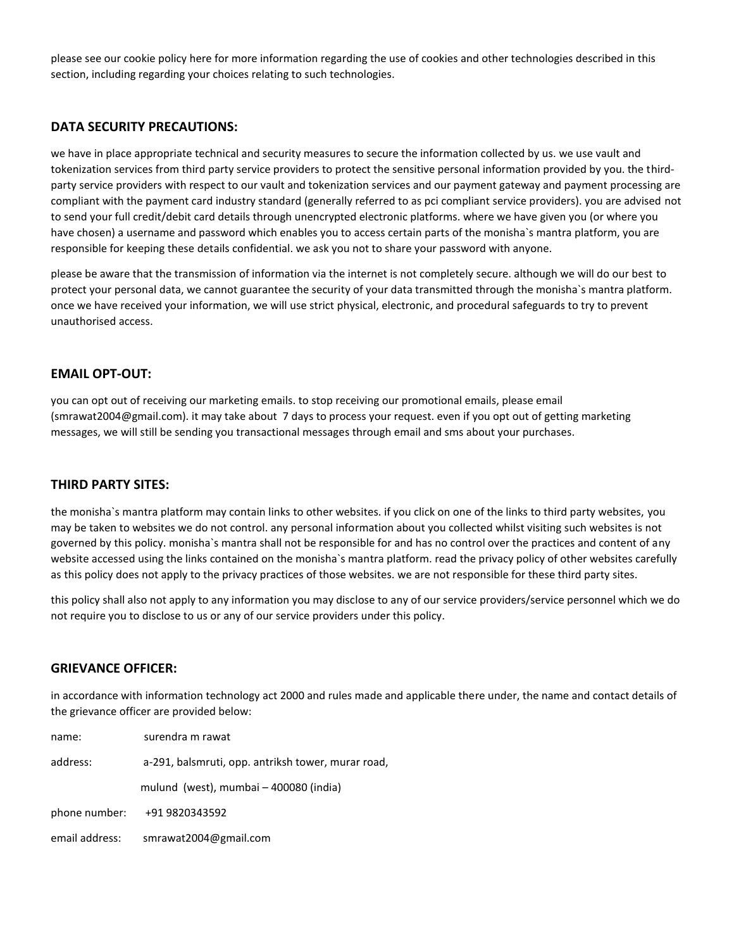please see our cookie policy here for more information regarding the use of cookies and other technologies described in this section, including regarding your choices relating to such technologies.

### **DATA SECURITY PRECAUTIONS:**

we have in place appropriate technical and security measures to secure the information collected by us. we use vault and tokenization services from third party service providers to protect the sensitive personal information provided by you. the thirdparty service providers with respect to our vault and tokenization services and our payment gateway and payment processing are compliant with the payment card industry standard (generally referred to as pci compliant service providers). you are advised not to send your full credit/debit card details through unencrypted electronic platforms. where we have given you (or where you have chosen) a username and password which enables you to access certain parts of the monisha`s mantra platform, you are responsible for keeping these details confidential. we ask you not to share your password with anyone.

please be aware that the transmission of information via the internet is not completely secure. although we will do our best to protect your personal data, we cannot guarantee the security of your data transmitted through the monisha`s mantra platform. once we have received your information, we will use strict physical, electronic, and procedural safeguards to try to prevent unauthorised access.

#### **EMAIL OPT-OUT:**

you can opt out of receiving our marketing emails. to stop receiving our promotional emails, please email (smrawat2004@gmail.com). it may take about 7 days to process your request. even if you opt out of getting marketing messages, we will still be sending you transactional messages through email and sms about your purchases.

#### **THIRD PARTY SITES:**

the monisha`s mantra platform may contain links to other websites. if you click on one of the links to third party websites, you may be taken to websites we do not control. any personal information about you collected whilst visiting such websites is not governed by this policy. monisha`s mantra shall not be responsible for and has no control over the practices and content of any website accessed using the links contained on the monisha`s mantra platform. read the privacy policy of other websites carefully as this policy does not apply to the privacy practices of those websites. we are not responsible for these third party sites.

this policy shall also not apply to any information you may disclose to any of our service providers/service personnel which we do not require you to disclose to us or any of our service providers under this policy.

#### **GRIEVANCE OFFICER:**

in accordance with information technology act 2000 and rules made and applicable there under, the name and contact details of the grievance officer are provided below:

| name:          | surendra m rawat                                   |
|----------------|----------------------------------------------------|
| address:       | a-291, balsmruti, opp. antriksh tower, murar road, |
|                | mulund (west), mumbai - 400080 (india)             |
| phone number:  | +91 9820343592                                     |
| email address: | smrawat2004@gmail.com                              |